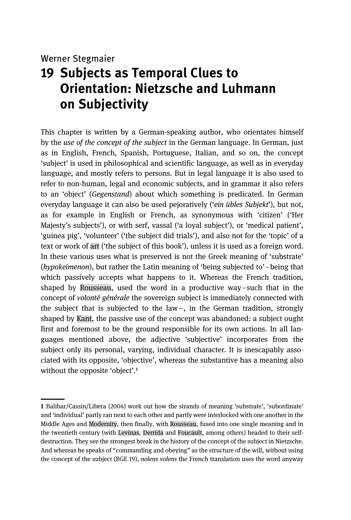Werner Stegmaier

# **19 Subjects as Temporal Clues to Orientation: Nietzsche and Luhmann on Subjectivity**

This chapter is written by a German-speaking author, who orientates himself by the *use of the concept of the subject* in the German language. In German, just as in English, French, Spanish, Portuguese, Italian, and so on, the concept 'subject' is used in philosophical and scientific language, as well as in everyday language, and mostly refers to persons. But in legal language it is also used to refer to non-human, legal and economic subjects, and in grammar it also refers to an 'object' (*Gegenstand*) about which something is predicated. In German everyday language it can also be used pejoratively ('*ein übles Subjekt*'), but not, as for example in English or French, as synonymous with 'citizen' ('Her Majesty's subjects'), or with serf, vassal ('a loyal subject'), or 'medical patient', 'guinea pig', 'volunteer' ('the subject did trials'), and also not for the 'topic' of a text or work of art ('the subject of this book'), unless it is used as a foreign word. In these various uses what is preserved is not the Greek meaning of 'substrate' (*hypokeímenon*), but rather the Latin meaning of 'being subjected to'–being that which passively accepts what happens to it. Whereas the French tradition, shaped by Rousseau, used the word in a productive way–such that in the concept of *volonté générale* the sovereign subject is immediately connected with the subject that is subjected to the law–, in the German tradition, strongly shaped by Kant, the passive use of the concept was abandoned: a subject ought first and foremost to be the ground responsible for its own actions. In all languages mentioned above, the adjective 'subjective' incorporates from the subject only its personal, varying, individual character. It is inescapably associated with its opposite, 'objective', whereas the substantive has a meaning also without the opposite 'object'.<sup>1</sup>

**<sup>1</sup>** Balibar/Cassin/Libera (2004) work out how the strands of meaning 'substrate', 'subordinate' and 'individual' partly ran next to each other and partly were interlocked with one another in the Middle Ages and Modernity, then finally, with Rousseau, fused into one single meaning and in the twentieth century (with Levinas, Derrida and Foucault, among others) headed to their selfdestruction. They see the strongest break in the history of the concept of the subject in Nietzsche. And whereas he speaks of "commanding and obeying" as the structure of the will, without using the concept of the subject (BGE 19), *nolens volens* the French translation uses the word anyway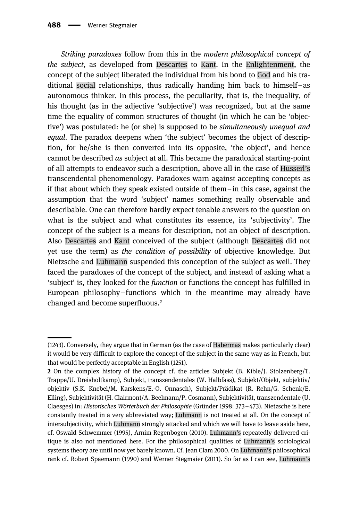*Striking paradoxes* follow from this in the *modern philosophical concept of the subject*, as developed from Descartes to Kant. In the Enlightenment, the concept of the subject liberated the individual from his bond to God and his traditional social relationships, thus radically handing him back to himself–as autonomous thinker. In this process, the peculiarity, that is, the inequality, of his thought (as in the adjective 'subjective') was recognized, but at the same time the equality of common structures of thought (in which he can be 'objective') was postulated: he (or she) is supposed to be *simultaneously unequal and equal*. The paradox deepens when 'the subject' becomes the object of description, for he/she is then converted into its opposite, 'the object', and hence cannot be described *as* subject at all. This became the paradoxical starting-point of all attempts to endeavor such a description, above all in the case of Husserl's transcendental phenomenology. Paradoxes warn against accepting concepts as if that about which they speak existed outside of them–in this case, against the assumption that the word 'subject' names something really observable and describable. One can therefore hardly expect tenable answers to the question on what is the subject and what constitutes its essence, its 'subjectivity'. The concept of the subject is a means for description, not an object of description. Also Descartes and Kant conceived of the subject (although Descartes did not yet use the term) as *the condition of possibility* of objective knowledge. But Nietzsche and Luhmann suspended this conception of the subject as well. They faced the paradoxes of the concept of the subject, and instead of asking what a 'subject' is, they looked for the *function* or functions the concept has fulfilled in European philosophy–functions which in the meantime may already have changed and become superfluous.²

<sup>(1243).</sup> Conversely, they argue that in German (as the case of Habermas makes particularly clear) it would be very difficult to explore the concept of the subject in the same way as in French, but that would be perfectly acceptable in English (1251).

**<sup>2</sup>** On the complex history of the concept cf. the articles Subjekt (B. Kible/J. Stolzenberg/T. Trappe/U. Dreisholtkamp), Subjekt, transzendentales (W. Halbfass), Subjekt/Objekt, subjektiv/ objektiv (S.K. Knebel/M. Karskens/E.-O. Onnasch), Subjekt/Prädikat (R. Rehn/G. Schenk/E. Elling), Subjektivität (H. Clairmont/A. Beelmann/P. Cosmann), Subjektivität, transzendentale (U. Claesges) in: *Historisches Wörterbuch der Philosophie* (Gründer 1998: 373–473). Nietzsche is here constantly treated in a very abbreviated way; Luhmann is not treated at all. On the concept of intersubjectivity, which Luhmann strongly attacked and which we will have to leave aside here, cf. Oswald Schwemmer (1995), Arnim Regenbogen (2010). Luhmann's repeatedly delivered critique is also not mentioned here. For the philosophical qualities of Luhmann's sociological systems theory are until now yet barely known. Cf. Jean Clam 2000. On Luhmann's philosophical rank cf. Robert Spaemann (1990) and Werner Stegmaier (2011). So far as I can see, Luhmann's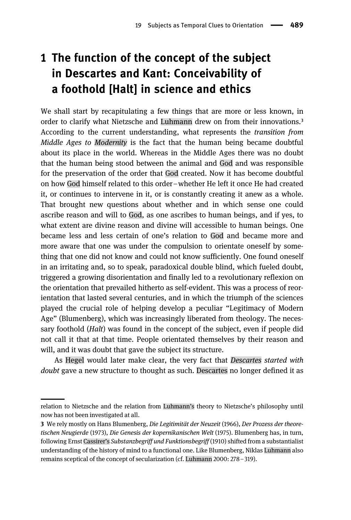## **1 The function of the concept of the subject in Descartes and Kant: Conceivability of a foothold [Halt] in science and ethics**

We shall start by recapitulating a few things that are more or less known, in order to clarify what Nietzsche and Luhmann drew on from their innovations.<sup>3</sup> According to the current understanding, what represents the *transition from Middle Ages to Modernity* is the fact that the human being became doubtful about its place in the world. Whereas in the Middle Ages there was no doubt that the human being stood between the animal and God and was responsible for the preservation of the order that God created. Now it has become doubtful on how God himself related to this order–whether He left it once He had created it, or continues to intervene in it, or is constantly creating it anew as a whole. That brought new questions about whether and in which sense one could ascribe reason and will to God, as one ascribes to human beings, and if yes, to what extent are divine reason and divine will accessible to human beings. One became less and less certain of one's relation to God and became more and more aware that one was under the compulsion to orientate oneself by something that one did not know and could not know sufficiently. One found oneself in an irritating and, so to speak, paradoxical double blind, which fueled doubt, triggered a growing disorientation and finally led to a revolutionary reflexion on the orientation that prevailed hitherto as self-evident. This was a process of reorientation that lasted several centuries, and in which the triumph of the sciences played the crucial role of helping develop a peculiar "Legitimacy of Modern Age" (Blumenberg), which was increasingly liberated from theology. The necessary foothold (*Halt*) was found in the concept of the subject, even if people did not call it that at that time. People orientated themselves by their reason and will, and it was doubt that gave the subject its structure.

As Hegel would later make clear, the very fact that *Descartes started with doubt* gave a new structure to thought as such. Descartes no longer defined it as

relation to Nietzsche and the relation from Luhmann's theory to Nietzsche's philosophy until now has not been investigated at all.

**<sup>3</sup>** We rely mostly on Hans Blumenberg, *Die Legitimität der Neuzeit* (1966), *Der Prozess der theoretischen Neugierde* (1973), *Die Genesis der kopernikanischen Welt* (1975). Blumenberg has, in turn, following Ernst Cassirer's *Substanzbegriff und Funktionsbegriff* (1910) shifted from a substantialist understanding of the history of mind to a functional one. Like Blumenberg, Niklas Luhmann also remains sceptical of the concept of secularization (cf. Luhmann 2000: 278–319).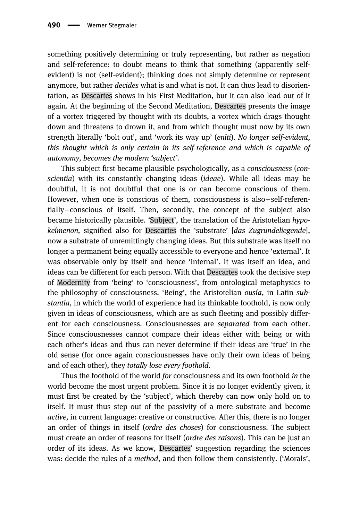something positively determining or truly representing, but rather as negation and self-reference: to doubt means to think that something (apparently selfevident) is not (self-evident); thinking does not simply determine or represent anymore, but rather *decides* what is and what is not. It can thus lead to disorientation, as Descartes shows in his First Meditation, but it can also lead out of it again. At the beginning of the Second Meditation, Descartes presents the image of a vortex triggered by thought with its doubts, a vortex which drags thought down and threatens to drown it, and from which thought must now by its own strength literally 'bolt out', and 'work its way up' (*enîti*). *No longer self-evident, this thought which is only certain in its self-reference and which is capable of autonomy, becomes the modern 'subject'.*

This subject first became plausible psychologically, as a *consciousness* (*conscientia*) with its constantly changing ideas (*ideae*). While all ideas may be doubtful, it is not doubtful that one is or can become conscious of them. However, when one is conscious of them, consciousness is also–self-referentially–conscious of itself. Then, secondly, the concept of the subject also became historically plausible. 'Subject', the translation of the Aristotelian *hypokeímenon,* signified also for Descartes the 'substrate' [*das Zugrundeliegende*], now a substrate of unremittingly changing ideas. But this substrate was itself no longer a permanent being equally accessible to everyone and hence 'external'. It was observable only by itself and hence 'internal'. It was itself an idea, and ideas can be different for each person. With that Descartes took the decisive step of Modernity from 'being' to 'consciousness', from ontological metaphysics to the philosophy of consciousness. 'Being', the Aristotelian *ousía*, in Latin *substantia*, in which the world of experience had its thinkable foothold, is now only given in ideas of consciousness, which are as such fleeting and possibly different for each consciousness. Consciousnesses are *separated* from each other. Since consciousnesses cannot compare their ideas either with being or with each other's ideas and thus can never determine if their ideas are 'true' in the old sense (for once again consciousnesses have only their own ideas of being and of each other), they *totally lose every foothold.*

Thus the foothold of the world *for* consciousness and its own foothold *in* the world become the most urgent problem. Since it is no longer evidently given, it must first be created by the 'subject', which thereby can now only hold on to itself. It must thus step out of the passivity of a mere substrate and become *active,* in current language: creative or constructive. After this, there is no longer an order of things in itself (*ordre des choses*) for consciousness. The subject must create an order of reasons for itself (*ordre des raisons*). This can be just an order of its ideas. As we know, Descartes' suggestion regarding the sciences was: decide the rules of a *method*, and then follow them consistently. ('Morals',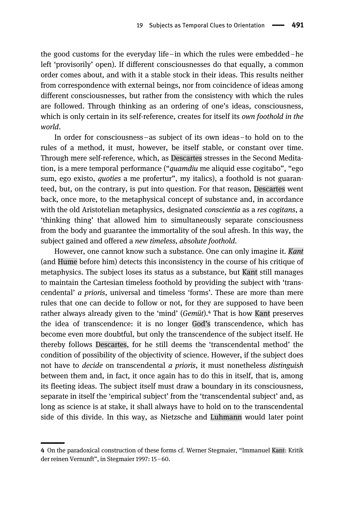the good customs for the everyday life–in which the rules were embedded–he left 'provisorily' open). If different consciousnesses do that equally, a common order comes about, and with it a stable stock in their ideas. This results neither from correspondence with external beings, nor from coincidence of ideas among different consciousnesses, but rather from the consistency with which the rules are followed. Through thinking as an ordering of one's ideas, consciousness, which is only certain in its self-reference, creates for itself its *own foothold in the world*.

In order for consciousness–as subject of its own ideas–to hold on to the rules of a method, it must, however, be itself stable, or constant over time. Through mere self-reference, which, as Descartes stresses in the Second Meditation, is a mere temporal performance ("*quamdiu* me aliquid esse cogitabo", "ego sum, ego existo, *quoties* a me profertur", my italics), a foothold is not guaranteed, but, on the contrary, is put into question. For that reason, Descartes went back, once more, to the metaphysical concept of substance and, in accordance with the old Aristotelian metaphysics, designated *conscientia* as a *res cogitans*, a 'thinking thing' that allowed him to simultaneously separate consciousness from the body and guarantee the immortality of the soul afresh. In this way, the subject gained and offered a *new timeless, absolute foothold.*

However, one cannot know such a substance. One can only imagine it. *Kant* (and Hume before him) detects this inconsistency in the course of his critique of metaphysics. The subject loses its status as a substance, but Kant still manages to maintain the Cartesian timeless foothold by providing the subject with 'transcendental' *a prioris*, universal and timeless 'forms'. These are more than mere rules that one can decide to follow or not, for they are supposed to have been rather always already given to the 'mind' *(Gemüt)*.<sup>4</sup> That is how Kant preserves the idea of transcendence: it is no longer God's transcendence, which has become even more doubtful, but only the transcendence of the subject itself. He thereby follows Descartes, for he still deems the 'transcendental method' the condition of possibility of the objectivity of science. However, if the subject does not have to *decide* on transcendental *a prioris*, it must nonetheless *distinguish* between them and, in fact, it once again has to do this in itself, that is, among its fleeting ideas. The subject itself must draw a boundary in its consciousness, separate in itself the 'empirical subject' from the 'transcendental subject' and, as long as science is at stake, it shall always have to hold on to the transcendental side of this divide. In this way, as Nietzsche and Luhmann would later point

**<sup>4</sup>** On the paradoxical construction of these forms cf. Werner Stegmaier, "Immanuel Kant: Kritik der reinen Vernunft", in Stegmaier 1997: 15–60.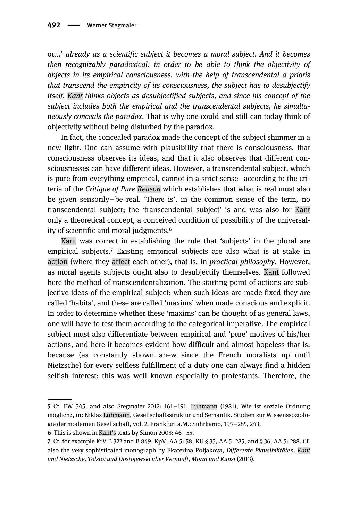out,⁵ *already as a scientific subject it becomes a moral subject. And it becomes then recognizably paradoxical: in order to be able to think the objectivity of objects in its empirical consciousness, with the help of transcendental a prioris that transcend the empiricity of its consciousness, the subject has to desubjectify itself. Kant thinks objects as desubjectified subjects, and since his concept of the subject includes both the empirical and the transcendental subjects, he simultaneously conceals the paradox.* That is why one could and still can today think of objectivity without being disturbed by the paradox.

In fact, the concealed paradox made the concept of the subject shimmer in a new light. One can assume with plausibility that there is consciousness, that consciousness observes its ideas, and that it also observes that different consciousnesses can have different ideas. However, a transcendental subject, which is pure from everything empirical, cannot in a strict sense–according to the criteria of the *Critique of Pure Reason* which establishes that what is real must also be given sensorily–be real. 'There is', in the common sense of the term, no transcendental subject; the 'transcendental subject' is and was also for Kant only a theoretical concept, a conceived condition of possibility of the universality of scientific and moral judgments.<sup>6</sup>

Kant was correct in establishing the rule that 'subjects' in the plural are empirical subjects.<sup>7</sup> Existing empirical subjects are also what is at stake in action (where they affect each other), that is, in *practical philosophy*. However, as moral agents subjects ought also to desubjectify themselves. Kant followed here the method of transcendentalization. The starting point of actions are subjective ideas of the empirical subject; when such ideas are made fixed they are called 'habits', and these are called 'maxims' when made conscious and explicit. In order to determine whether these 'maxims' can be thought of as general laws, one will have to test them according to the categorical imperative. The empirical subject must also differentiate between empirical and 'pure' motives of his/her actions, and here it becomes evident how difficult and almost hopeless that is, because (as constantly shown anew since the French moralists up until Nietzsche) for every selfless fulfillment of a duty one can always find a hidden selfish interest; this was well known especially to protestants. Therefore, the

**<sup>5</sup>** Cf. FW 345, and also Stegmaier 2012: 161–191, Luhmann (1981), Wie ist soziale Ordnung möglich?, in: Niklas Luhmann, Gesellschaftsstruktur und Semantik. Studien zur Wissenssoziologie der modernen Gesellschaft, vol. 2, Frankfurt a.M.: Suhrkamp, 195–285, 243.

**<sup>6</sup>** This is shown in Kant's texts by Simon 2003: 46–55.

**<sup>7</sup>** Cf. for example KrV B 322 and B 849; KpV, AA 5: 58; KU § 33, AA 5: 285, and § 36, AA 5: 288. Cf. also the very sophisticated monograph by Ekaterina Poljakova, *Differente Plausibilitäten. Kant und Nietzsche, Tolstoi und Dostojewski über Vernunft, Moral und Kunst* (2013).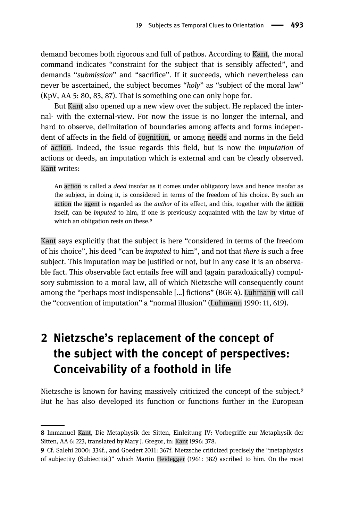demand becomes both rigorous and full of pathos. According to Kant, the moral command indicates "constraint for the subject that is sensibly affected", and demands "*submission*" and "sacrifice". If it succeeds, which nevertheless can never be ascertained, the subject becomes "*holy*" as "subject of the moral law" (KpV, AA 5: 80, 83, 87). That is something one can only hope for.

But Kant also opened up a new view over the subject. He replaced the internal- with the external-view. For now the issue is no longer the internal, and hard to observe, delimitation of boundaries among affects and forms independent of affects in the field of cognition, or among needs and norms in the field of action. Indeed, the issue regards this field, but is now the *imputation* of actions or deeds, an imputation which is external and can be clearly observed. Kant writes:

An action is called a *deed* insofar as it comes under obligatory laws and hence insofar as the subject, in doing it, is considered in terms of the freedom of his choice. By such an action the agent is regarded as the *author* of its effect, and this, together with the action itself, can be *imputed* to him, if one is previously acquainted with the law by virtue of which an obligation rests on these.<sup>8</sup>

Kant says explicitly that the subject is here "considered in terms of the freedom of his choice", his deed "can be *imputed* to him", and not that *there is* such a free subject. This imputation may be justified or not, but in any case it is an observable fact. This observable fact entails free will and (again paradoxically) compulsory submission to a moral law, all of which Nietzsche will consequently count among the "perhaps most indispensable […] fictions" (BGE 4). Luhmann will call the "convention of imputation" a "normal illusion" (Luhmann 1990: 11, 619).

## **2 Nietzsche's replacement of the concept of the subject with the concept of perspectives: Conceivability of a foothold in life**

Nietzsche is known for having massively criticized the concept of the subject.<sup>9</sup> But he has also developed its function or functions further in the European

**<sup>8</sup>** Immanuel Kant, Die Metaphysik der Sitten, Einleitung IV: Vorbegriffe zur Metaphysik der Sitten, AA 6: 223, translated by Mary J. Gregor, in: Kant 1996: 378.

**<sup>9</sup>** Cf. Salehi 2000: 334f., and Goedert 2011: 367f. Nietzsche criticized precisely the "metaphysics of subjectity (Subiectität)" which Martin Heidegger (1961: 382) ascribed to him. On the most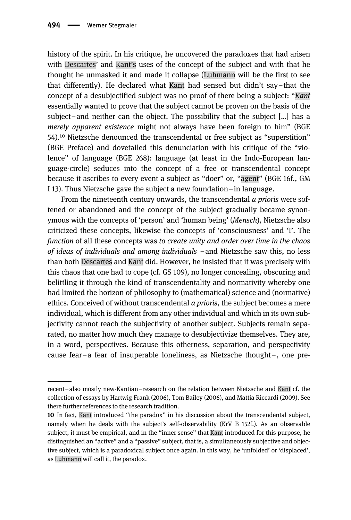history of the spirit. In his critique, he uncovered the paradoxes that had arisen with Descartes' and Kant's uses of the concept of the subject and with that he thought he unmasked it and made it collapse (Luhmann will be the first to see that differently). He declared what Kant had sensed but didn't say–that the concept of a desubjectified subject was no proof of there being a subject: "*Kant* essentially wanted to prove that the subject cannot be proven on the basis of the subject–and neither can the object. The possibility that the subject […] has a *merely apparent existence* might not always have been foreign to him" (BGE 54).<sup>10</sup> Nietzsche denounced the transcendental or free subject as "superstition" (BGE Preface) and dovetailed this denunciation with his critique of the "violence" of language (BGE 268): language (at least in the Indo-European language-circle) seduces into the concept of a free or transcendental concept because it ascribes to every event a subject as "doer" or, "agent" (BGE 16f., GM I 13). Thus Nietzsche gave the subject a new foundation–in language.

From the nineteenth century onwards, the transcendental *a prioris* were softened or abandoned and the concept of the subject gradually became synonymous with the concepts of 'person' and 'human being' (*Mensch*), Nietzsche also criticized these concepts, likewise the concepts of 'consciousness' and 'I'. The *function* of all these concepts was *to create unity and order over time in the chaos of ideas of individuals and among individuals* –and Nietzsche saw this, no less than both Descartes and Kant did. However, he insisted that it was precisely with this chaos that one had to cope (cf. GS 109), no longer concealing, obscuring and belittling it through the kind of transcendentality and normativity whereby one had limited the horizon of philosophy to (mathematical) science and (normative) ethics. Conceived of without transcendental *a prioris*, the subject becomes a mere individual, which is different from any other individual and which in its own subjectivity cannot reach the subjectivity of another subject. Subjects remain separated, no matter how much they manage to desubjectivize themselves. They are, in a word, perspectives. Because this otherness, separation, and perspectivity cause fear–a fear of insuperable loneliness, as Nietzsche thought–, one pre-

recent–also mostly new-Kantian–research on the relation between Nietzsche and Kant cf. the collection of essays by Hartwig Frank (2006), Tom Bailey (2006), and Mattia Riccardi (2009). See there further references to the research tradition.

**<sup>10</sup>** In fact, Kant introduced "the paradox" in his discussion about the transcendental subject, namely when he deals with the subject's self-observability (KrV B 152f.). As an observable subject, it must be empirical, and in the "inner sense" that Kant introduced for this purpose, he distinguished an "active" and a "passive" subject, that is, a simultaneously subjective and objective subject, which is a paradoxical subject once again. In this way, he 'unfolded' or 'displaced', as Luhmann will call it, the paradox.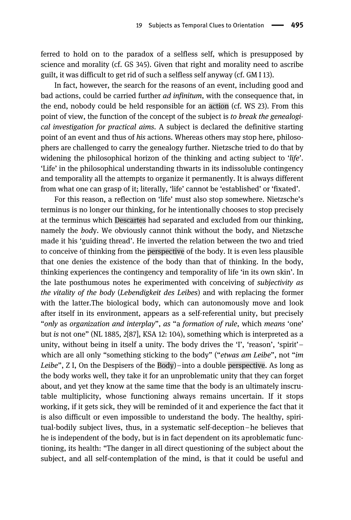ferred to hold on to the paradox of a selfless self, which is presupposed by science and morality (cf. GS 345). Given that right and morality need to ascribe guilt, it was difficult to get rid of such a selfless self anyway (cf. GM I 13).

In fact, however, the search for the reasons of an event, including good and bad actions, could be carried further *ad infinitum*, with the consequence that, in the end, nobody could be held responsible for an action (cf. WS 23). From this point of view, the function of the concept of the subject is *to break the genealogical investigation for practical aims.* A subject is declared the definitive starting point of an event and thus of *his* actions. Whereas others may stop here, philosophers are challenged to carry the genealogy further. Nietzsche tried to do that by widening the philosophical horizon of the thinking and acting subject to '*life*'. 'Life' in the philosophical understanding thwarts in its indissoluble contingency and temporality all the attempts to organize it permanently. It is always different from what one can grasp of it; literally, 'life' cannot be 'established' or 'fixated'.

For this reason, a reflection on 'life' must also stop somewhere. Nietzsche's terminus is no longer our thinking, for he intentionally chooses to stop precisely at the terminus which Descartes had separated and excluded from our thinking, namely the *bod*y. We obviously cannot think without the body, and Nietzsche made it his 'guiding thread'. He inverted the relation between the two and tried to conceive of thinking from the perspective of the body. It is even less plausible that one denies the existence of the body than that of thinking. In the body, thinking experiences the contingency and temporality of life 'in its own skin'. In the late posthumous notes he experimented with conceiving of *subjectivity as the vitality of the body* (*Lebendigkeit des Leibes*) and with replacing the former with the latter.The biological body, which can autonomously move and look after itself in its environment, appears as a self-referential unity, but precisely "*only* as *organization and interplay*", *as* "a *formation of rule*, which *means* 'one' but *is* not one" (NL 1885, 2[87], KSA 12: 104), something which is interpreted as a unity, without being in itself a unity. The body drives the 'I', 'reason', 'spirit'– which are all only "something sticking to the body" ("*etwas am Leibe*", not "*im Leibe*", Z I, On the Despisers of the Body)–into a double perspective. As long as the body works well, they take it for an unproblematic unity that they can forget about, and yet they know at the same time that the body is an ultimately inscrutable multiplicity, whose functioning always remains uncertain. If it stops working, if it gets sick, they will be reminded of it and experience the fact that it is also difficult or even impossible to understand the body. The healthy, spiritual-bodily subject lives, thus, in a systematic self-deception–he believes that he is independent of the body, but is in fact dependent on its aproblematic functioning, its health: "The danger in all direct questioning of the subject about the subject, and all self-contemplation of the mind, is that it could be useful and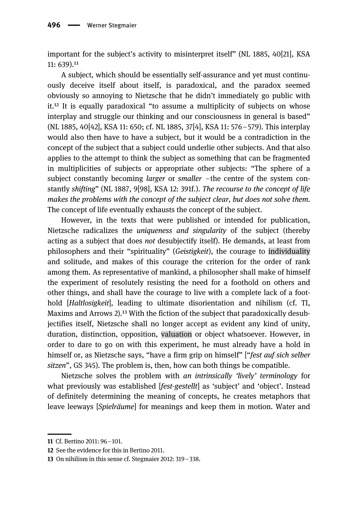important for the subject's activity to misinterpret itself" (NL 1885, 40[21], KSA  $11: 639.11$ 

A subject, which should be essentially self-assurance and yet must continuously deceive itself about itself, is paradoxical, and the paradox seemed obviously so annoying to Nietzsche that he didn't immediately go public with  $it.^{12}$  It is equally paradoxical "to assume a multiplicity of subjects on whose interplay and struggle our thinking and our consciousness in general is based" (NL 1885, 40[42], KSA 11: 650; cf. NL 1885, 37[4], KSA 11: 576–579). This interplay would also then have to have a subject, but it would be a contradiction in the concept of the subject that a subject could underlie other subjects. And that also applies to the attempt to think the subject as something that can be fragmented in multiplicities of subjects or appropriate other subjects: "The sphere of a subject constantly becoming *larger* or *smaller* –the centre of the system constantly *shifting*" (NL 1887, 9[98], KSA 12: 391f.). *The recourse to the concept of life makes the problems with the concept of the subject clear, but does not solve them.* The concept of life eventually exhausts the concept of the subject.

However, in the texts that were published or intended for publication, Nietzsche radicalizes the *uniqueness and singularity* of the subject (thereby acting as a subject that does *not* desubjectify itself). He demands, at least from philosophers and their "spirituality" (*Geistigkeit*), the courage to individuality and solitude, and makes of this courage the criterion for the order of rank among them. As representative of mankind, a philosopher shall make of himself the experiment of resolutely resisting the need for a foothold on others and other things, and shall have the courage to live with a complete lack of a foothold [*Haltlosigkeit*]*,* leading to ultimate disorientation and nihilism (cf. TI, Maxims and Arrows  $2$ ).<sup>13</sup> With the fiction of the subject that paradoxically desubjectifies itself, Nietzsche shall no longer accept as evident any kind of unity, duration, distinction, opposition, valuation or object whatsoever. However, in order to dare to go on with this experiment, he must already have a hold in himself or, as Nietzsche says, "have a firm grip on himself" ["*fest auf sich selber sitzen*", GS 345). The problem is, then, how can both things be compatible.

Nietzsche solves the problem with *an intrinsically 'lively' terminology* for what previously was established [*fest-gestellt*] as 'subject' and 'object'. Instead of definitely determining the meaning of concepts, he creates metaphors that leave leeways [*Spielräume*] for meanings and keep them in motion. Water and

**<sup>11</sup>** Cf. Bertino 2011: 96–101.

**<sup>12</sup>** See the evidence for this in Bertino 2011.

**<sup>13</sup>** On nihilism in this sense cf. Stegmaier 2012: 319–338.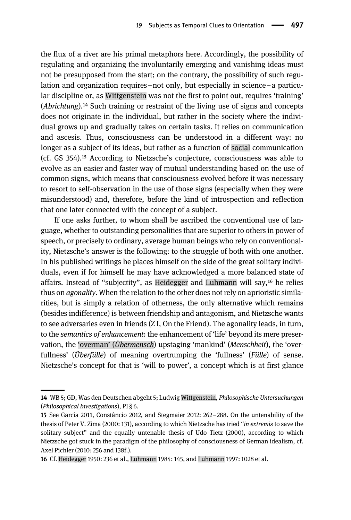the flux of a river are his primal metaphors here. Accordingly, the possibility of regulating and organizing the involuntarily emerging and vanishing ideas must not be presupposed from the start; on the contrary, the possibility of such regulation and organization requires–not only, but especially in science–a particular discipline or, as Wittgenstein was not the first to point out, requires 'training' (*Abrichtung*).<sup>14</sup> Such training or restraint of the living use of signs and concepts does not originate in the individual, but rather in the society where the individual grows up and gradually takes on certain tasks. It relies on communication and ascesis. Thus, consciousness can be understood in a different way: no longer as a subject of its ideas, but rather as a function of social communication (cf.  $GS$  354).<sup>15</sup> According to Nietzsche's conjecture, consciousness was able to evolve as an easier and faster way of mutual understanding based on the use of common signs, which means that consciousness evolved before it was necessary to resort to self-observation in the use of those signs (especially when they were misunderstood) and, therefore, before the kind of introspection and reflection that one later connected with the concept of a subject.

If one asks further, to whom shall be ascribed the conventional use of language, whether to outstanding personalities that are superior to others in power of speech, or precisely to ordinary, average human beings who rely on conventionality, Nietzsche's answer is the following: to the struggle of both with one another. In his published writings he places himself on the side of the great solitary individuals, even if for himself he may have acknowledged a more balanced state of affairs. Instead of "subjectity", as Heidegger and Luhmann will say,<sup>16</sup> he relies thus on *agonality.* When the relation to the other does not rely on aprioristic similarities, but is simply a relation of otherness, the only alternative which remains (besides indifference) is between friendship and antagonism, and Nietzsche wants to see adversaries even in friends (Z I, On the Friend). The agonality leads, in turn, to the *semantics of enhancement*: the enhancement of 'life' beyond its mere preservation, the 'overman' (*Übermensch*) upstaging 'mankind' (*Menschheit*), the 'overfullness' (*Überfülle*) of meaning overtrumping the 'fullness' (*Fülle*) of sense. Nietzsche's concept for that is 'will to power', a concept which is at first glance

**<sup>14</sup>** WB 5; GD, Was den Deutschen abgeht 5; Ludwig Wittgenstein, *Philosophische Untersuchungen* (*Philosophical Investigations*), PI § 6.

**<sup>15</sup>** See García 2011, Constâncio 2012, and Stegmaier 2012: 262–288. On the untenability of the thesis of Peter V. Zima (2000: 131), according to which Nietzsche has tried "*in extremis* to save the solitary subject" and the equally untenable thesis of Udo Tietz (2000), according to which Nietzsche got stuck in the paradigm of the philosophy of consciousness of German idealism, cf. Axel Pichler (2010: 256 and 138f.).

**<sup>16</sup>** Cf. Heidegger 1950: 236 et al., Luhmann 1984: 145, and Luhmann 1997: 1028 et al.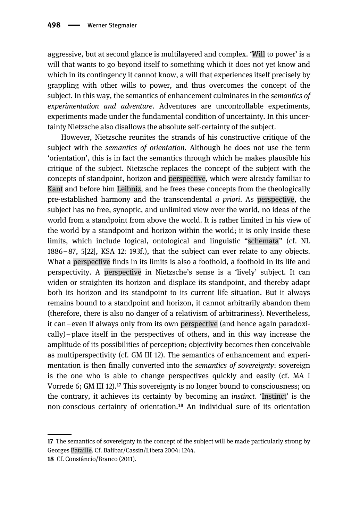aggressive, but at second glance is multilayered and complex. 'Will to power' is a will that wants to go beyond itself to something which it does not yet know and which in its contingency it cannot know, a will that experiences itself precisely by grappling with other wills to power, and thus overcomes the concept of the subject. In this way, the semantics of enhancement culminates in the *semantics of experimentation and adventure*. Adventures are uncontrollable experiments, experiments made under the fundamental condition of uncertainty. In this uncertainty Nietzsche also disallows the absolute self-certainty of the subject.

However, Nietzsche reunites the strands of his constructive critique of the subject with the *semantics of orientation*. Although he does not use the term 'orientation', this is in fact the semantics through which he makes plausible his critique of the subject. Nietzsche replaces the concept of the subject with the concepts of standpoint, horizon and perspective, which were already familiar to Kant and before him Leibniz, and he frees these concepts from the theologically pre-established harmony and the transcendental *a priori*. As perspective, the subject has no free, synoptic, and unlimited view over the world, no ideas of the world from a standpoint from above the world. It is rather limited in his view of the world by a standpoint and horizon within the world; it is only inside these limits, which include logical, ontological and linguistic "schemata" (cf. NL 1886–87, 5[22], KSA 12: 193f.), that the subject can ever relate to any objects. What a perspective finds in its limits is also a foothold, a foothold in its life and perspectivity. A perspective in Nietzsche's sense is a 'lively' subject. It can widen or straighten its horizon and displace its standpoint, and thereby adapt both its horizon and its standpoint to its current life situation. But it always remains bound to a standpoint and horizon, it cannot arbitrarily abandon them (therefore, there is also no danger of a relativism of arbitrariness). Nevertheless, it can–even if always only from its own perspective (and hence again paradoxically)–place itself in the perspectives of others, and in this way increase the amplitude of its possibilities of perception; objectivity becomes then conceivable as multiperspectivity (cf. GM III 12). The semantics of enhancement and experimentation is then finally converted into the *semantics of sovereignty*: sovereign is the one who is able to change perspectives quickly and easily (cf. MA I Vorrede 6; GM III 12).<sup>17</sup> This sovereignty is no longer bound to consciousness; on the contrary, it achieves its certainty by becoming an *instinct*. 'Instinct' is the non-conscious certainty of orientation.<sup>18</sup> An individual sure of its orientation

**<sup>17</sup>** The semantics of sovereignty in the concept of the subject will be made particularly strong by Georges Bataille. Cf. Balibar/Cassin/Libera 2004: 1244.

**<sup>18</sup>** Cf. Constâncio/Branco (2011).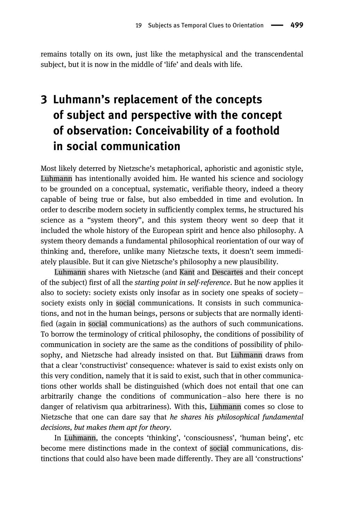remains totally on its own, just like the metaphysical and the transcendental subject, but it is now in the middle of 'life' and deals with life.

### **3 Luhmann's replacement of the concepts of subject and perspective with the concept of observation: Conceivability of a foothold in social communication**

Most likely deterred by Nietzsche's metaphorical, aphoristic and agonistic style, Luhmann has intentionally avoided him. He wanted his science and sociology to be grounded on a conceptual, systematic, verifiable theory, indeed a theory capable of being true or false, but also embedded in time and evolution. In order to describe modern society in sufficiently complex terms, he structured his science as a "system theory", and this system theory went so deep that it included the whole history of the European spirit and hence also philosophy. A system theory demands a fundamental philosophical reorientation of our way of thinking and, therefore, unlike many Nietzsche texts, it doesn't seem immediately plausible. But it can give Nietzsche's philosophy a new plausibility.

Luhmann shares with Nietzsche (and Kant and Descartes and their concept of the subject) first of all the *starting point in self-reference*. But he now applies it also to society: society exists only insofar as in society one speaks of society– society exists only in social communications. It consists in such communications, and not in the human beings, persons or subjects that are normally identified (again in social communications) as the authors of such communications. To borrow the terminology of critical philosophy, the conditions of possibility of communication in society are the same as the conditions of possibility of philosophy, and Nietzsche had already insisted on that. But Luhmann draws from that a clear 'constructivist' consequence: whatever is said to exist exists only on this very condition, namely that it is said to exist, such that in other communications other worlds shall be distinguished (which does not entail that one can arbitrarily change the conditions of communication–also here there is no danger of relativism qua arbitrariness). With this, Luhmann comes so close to Nietzsche that one can dare say that *he shares his philosophical fundamental decisions, but makes them apt for theory.*

In Luhmann, the concepts 'thinking', 'consciousness', 'human being', etc become mere distinctions made in the context of social communications, distinctions that could also have been made differently. They are all 'constructions'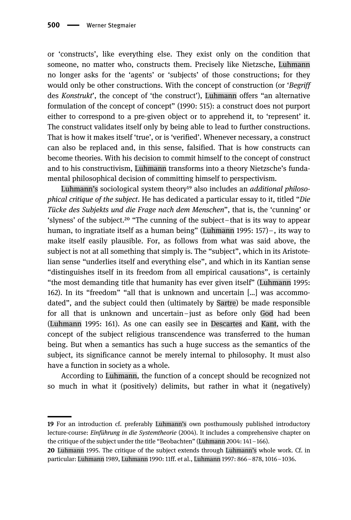or 'constructs', like everything else. They exist only on the condition that someone, no matter who, constructs them. Precisely like Nietzsche, Luhmann no longer asks for the 'agents' or 'subjects' of those constructions; for they would only be other constructions. With the concept of construction (or '*Begriff* des *Konstrukt*', the concept of 'the construct'), Luhmann offers "an alternative formulation of the concept of concept" (1990: 515): a construct does not purport either to correspond to a pre-given object or to apprehend it, to 'represent' it. The construct validates itself only by being able to lead to further constructions. That is how it makes itself 'true', or is 'verified'. Whenever necessary, a construct can also be replaced and, in this sense, falsified. That is how constructs can become theories. With his decision to commit himself to the concept of construct and to his constructivism, Luhmann transforms into a theory Nietzsche's fundamental philosophical decision of committing himself to perspectivism.

Luhmann's sociological system theory<sup>19</sup> also includes an *additional philosophical critique of the subject*. He has dedicated a particular essay to it, titled "*Die Tücke des Subjekts und die Frage nach dem Menschen*", that is, the 'cunning' or 'slyness' of the subject.<sup>20</sup> "The cunning of the subject–that is its way to appear human, to ingratiate itself as a human being" (Luhmann 1995: 157)–, its way to make itself easily plausible. For, as follows from what was said above, the subject is not at all something that simply is. The "subject", which in its Aristotelian sense "underlies itself and everything else", and which in its Kantian sense "distinguishes itself in its freedom from all empirical causations", is certainly "the most demanding title that humanity has ever given itself" (Luhmann 1995: 162). In its "freedom" "all that is unknown and uncertain […] was accommodated", and the subject could then (ultimately by Sartre) be made responsible for all that is unknown and uncertain–just as before only God had been (Luhmann 1995: 161). As one can easily see in Descartes and Kant, with the concept of the subject religious transcendence was transferred to the human being. But when a semantics has such a huge success as the semantics of the subject, its significance cannot be merely internal to philosophy. It must also have a function in society as a whole.

According to Luhmann, the function of a concept should be recognized not so much in what it (positively) delimits, but rather in what it (negatively)

**<sup>19</sup>** For an introduction cf. preferably Luhmann's own posthumously published introductory lecture-course: *Einführung in die Systemtheorie* (2004). It includes a comprehensive chapter on the critique of the subject under the title "Beobachten" (Luhmann 2004: 141–166).

**<sup>20</sup>** Luhmann 1995. The critique of the subject extends through Luhmann's whole work. Cf. in particular: Luhmann 1989, Luhmann 1990: 11ff. et al., Luhmann 1997: 866–878, 1016–1036.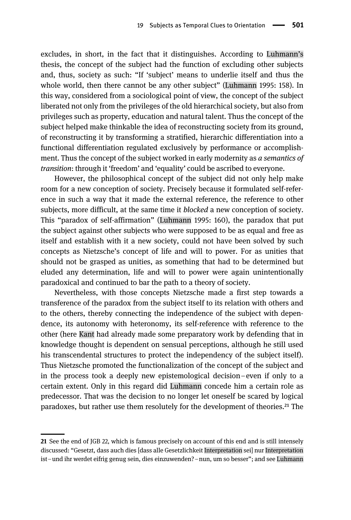excludes, in short, in the fact that it distinguishes. According to Luhmann's thesis, the concept of the subject had the function of excluding other subjects and, thus, society as such: "If 'subject' means to underlie itself and thus the whole world, then there cannot be any other subject" (Luhmann 1995: 158). In this way, considered from a sociological point of view, the concept of the subject liberated not only from the privileges of the old hierarchical society, but also from privileges such as property, education and natural talent. Thus the concept of the subject helped make thinkable the idea of reconstructing society from its ground, of reconstructing it by transforming a stratified, hierarchic differentiation into a functional differentiation regulated exclusively by performance or accomplishment. Thus the concept of the subject worked in early modernity as *a semantics of transition*: through it 'freedom' and 'equality' could be ascribed to everyone.

However, the philosophical concept of the subject did not only help make room for a new conception of society. Precisely because it formulated self-reference in such a way that it made the external reference, the reference to other subjects, more difficult, at the same time it *blocked* a new conception of society. This "paradox of self-affirmation" (Luhmann 1995: 160), the paradox that put the subject against other subjects who were supposed to be as equal and free as itself and establish with it a new society, could not have been solved by such concepts as Nietzsche's concept of life and will to power. For as unities that should not be grasped as unities, as something that had to be determined but eluded any determination, life and will to power were again unintentionally paradoxical and continued to bar the path to a theory of society.

Nevertheless, with those concepts Nietzsche made a first step towards a transference of the paradox from the subject itself to its relation with others and to the others, thereby connecting the independence of the subject with dependence, its autonomy with heteronomy, its self-reference with reference to the other (here Kant had already made some preparatory work by defending that in knowledge thought is dependent on sensual perceptions, although he still used his transcendental structures to protect the independency of the subject itself). Thus Nietzsche promoted the functionalization of the concept of the subject and in the process took a deeply new epistemological decision–even if only to a certain extent. Only in this regard did Luhmann concede him a certain role as predecessor. That was the decision to no longer let oneself be scared by logical paradoxes, but rather use them resolutely for the development of theories.<sup>21</sup> The

**<sup>21</sup>** See the end of JGB 22, which is famous precisely on account of this end and is still intensely discussed: "Gesetzt, dass auch dies [dass alle Gesetzlichkeit Interpretation sei] nur Interpretation ist–und ihr werdet eifrig genug sein, dies einzuwenden?–nun, um so besser"; and see Luhmann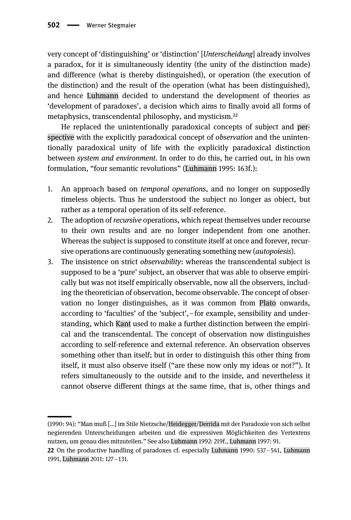very concept of 'distinguishing' or 'distinction' [*Unterscheidung*] already involves a paradox, for it is simultaneously identity (the unity of the distinction made) and difference (what is thereby distinguished), or operation (the execution of the distinction) and the result of the operation (what has been distinguished), and hence Luhmann decided to understand the development of theories as 'development of paradoxes', a decision which aims to finally avoid all forms of metaphysics, transcendental philosophy, and mysticism.<sup>22</sup>

He replaced the unintentionally paradoxical concepts of subject and perspective with the explicitly paradoxical concept of *observation* and the unintentionally paradoxical unity of life with the explicitly paradoxical distinction between *system and environment.* In order to do this, he carried out, in his own formulation, "four semantic revolutions" (Luhmann 1995: 163f.):

- 1. An approach based on *temporal operations*, and no longer on supposedly timeless objects. Thus he understood the subject no longer as object, but rather as a temporal operation of its self-reference.
- 2. The adoption of *recursive* operations, which repeat themselves under recourse to their own results and are no longer independent from one another. Whereas the subject is supposed to constitute itself at once and forever, recursive operations are continuously generating something new (*autopoiesis*).
- 3. The insistence on strict *observability*: whereas the transcendental subject is supposed to be a 'pure' subject, an observer that was able to observe empirically but was not itself empirically observable, now all the observers, including the theoretician of observation, become observable. The concept of observation no longer distinguishes, as it was common from Plato onwards, according to 'faculties' of the 'subject',–for example, sensibility and understanding, which Kant used to make a further distinction between the empirical and the transcendental. The concept of observation now distinguishes according to self-reference and external reference. An observation observes something other than itself; but in order to distinguish this other thing from itself, it must also observe itself ("are these now only my ideas or not?"). It refers simultaneously to the outside and to the inside, and nevertheless it cannot observe different things at the same time, that is, other things and

<sup>(1990: 94):</sup> "Man muß […] im Stile Nietzsche/Heidegger/Derrida mit der Paradoxie von sich selbst negierenden Unterscheidungen arbeiten und die expressiven Möglichkeiten des Vertextens nutzen, um genau dies mitzuteilen." See also Luhmann 1992: 219f., Luhmann 1997: 91.

**<sup>22</sup>** On the productive handling of paradoxes cf. especially Luhmann 1990: 537–541, Luhmann 1991, Luhmann 2011: 127–131.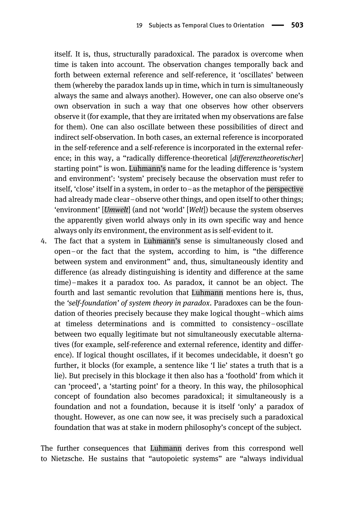itself. It is, thus, structurally paradoxical. The paradox is overcome when time is taken into account. The observation changes temporally back and forth between external reference and self-reference, it 'oscillates' between them (whereby the paradox lands up in time, which in turn is simultaneously always the same and always another). However, one can also observe one's own observation in such a way that one observes how other observers observe it (for example, that they are irritated when my observations are false for them). One can also oscillate between these possibilities of direct and indirect self-observation. In both cases, an external reference is incorporated in the self-reference and a self-reference is incorporated in the external reference; in this way, a "radically difference-theoretical [*differenztheoretischer*] starting point" is won. Luhmann's name for the leading difference is 'system and environment': 'system' precisely because the observation must refer to itself, 'close' itself in a system, in order to–as the metaphor of the perspective had already made clear – observe other things, and open itself to other things; 'environment' [*Umwelt*] (and not 'world' [*Welt*]) because the system observes the apparently given world always only in its own specific way and hence always only *its* environment, the environment as is self-evident to it.

4. The fact that a system in Luhmann's sense is simultaneously closed and open–or the fact that the system, according to him, is "the difference between system and environment" and, thus, simultaneously identity and difference (as already distinguishing is identity and difference at the same time)–makes it a paradox too. As paradox, it cannot be an object. The fourth and last semantic revolution that Luhmann mentions here is, thus, the *'self-foundation' of system theory in paradox*. Paradoxes can be the foundation of theories precisely because they make logical thought–which aims at timeless determinations and is committed to consistency–oscillate between two equally legitimate but not simultaneously executable alternatives (for example, self-reference and external reference, identity and difference). If logical thought oscillates, if it becomes undecidable, it doesn't go further, it blocks (for example, a sentence like 'I lie' states a truth that is a lie). But precisely in this blockage it then also has a 'foothold' from which it can 'proceed', a 'starting point' for a theory. In this way, the philosophical concept of foundation also becomes paradoxical; it simultaneously is a foundation and not a foundation, because it is itself 'only' a paradox of thought. However, as one can now see, it was precisely such a paradoxical foundation that was at stake in modern philosophy's concept of the subject.

The further consequences that Luhmann derives from this correspond well to Nietzsche. He sustains that "autopoietic systems" are "always individual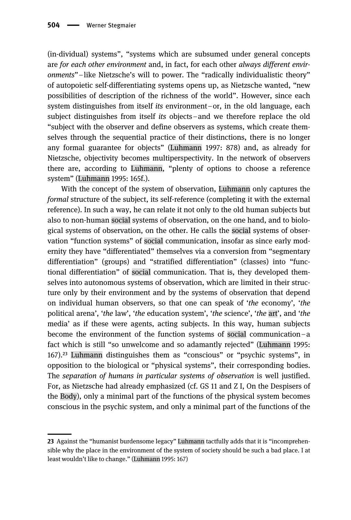(in-dividual) systems", "systems which are subsumed under general concepts are *for each other environment* and, in fact, for each other *always different environments*"–like Nietzsche's will to power. The "radically individualistic theory" of autopoietic self-differentiating systems opens up, as Nietzsche wanted, "new possibilities of description of the richness of the world". However, since each system distinguishes from itself *its* environment–or, in the old language, each subject distinguishes from itself *its* objects–and we therefore replace the old "subject with the observer and define observers as systems, which create themselves through the sequential practice of their distinctions, there is no longer any formal guarantee for objects" (Luhmann 1997: 878) and, as already for Nietzsche, objectivity becomes multiperspectivity. In the network of observers there are, according to Luhmann, "plenty of options to choose a reference system" (Luhmann 1995: 165f.).

With the concept of the system of observation, Luhmann only captures the *formal* structure of the subject, its self-reference (completing it with the external reference). In such a way, he can relate it not only to the old human subjects but also to non-human social systems of observation, on the one hand, and to biological systems of observation, on the other. He calls the social systems of observation "function systems" of social communication, insofar as since early modernity they have "differentiated" themselves via a conversion from "segmentary differentiation" (groups) and "stratified differentiation" (classes) into "functional differentiation" of social communication. That is, they developed themselves into autonomous systems of observation, which are limited in their structure only by their environment and by the systems of observation that depend on individual human observers, so that one can speak of '*the* economy', '*the* political arena', '*the* law', '*the* education system', '*the* science', '*the* art', and '*the* media' as if these were agents, acting subjects. In this way, human subjects become the environment of the function systems of social communication–a fact which is still "so unwelcome and so adamantly rejected" (Luhmann 1995:  $167$ ).<sup>23</sup> Luhmann distinguishes them as "conscious" or "psychic systems", in opposition to the biological or "physical systems", their corresponding bodies. The *separation of humans in particular systems of observation* is well justified. For, as Nietzsche had already emphasized (cf. GS 11 and Z I, On the Despisers of the Body), only a minimal part of the functions of the physical system becomes conscious in the psychic system, and only a minimal part of the functions of the

**<sup>23</sup>** Against the "humanist burdensome legacy" Luhmann tactfully adds that it is "incomprehensible why the place in the environment of the system of society should be such a bad place. I at least wouldn't like to change." (Luhmann 1995: 167)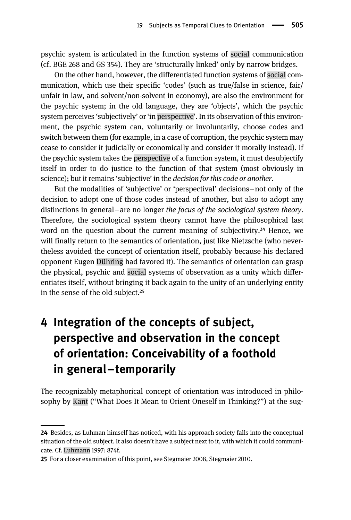psychic system is articulated in the function systems of social communication (cf. BGE 268 and GS 354). They are 'structurally linked' only by narrow bridges.

On the other hand, however, the differentiated function systems of social communication, which use their specific 'codes' (such as true/false in science, fair/ unfair in law, and solvent/non-solvent in economy), are also the environment for the psychic system; in the old language, they are 'objects', which the psychic system perceives 'subjectively' or 'in perspective'. In its observation of this environment, the psychic system can, voluntarily or involuntarily, choose codes and switch between them (for example, in a case of corruption, the psychic system may cease to consider it judicially or economically and consider it morally instead). If the psychic system takes the perspective of a function system, it must desubjectify itself in order to do justice to the function of that system (most obviously in science); but it remains 'subjective' in the *decision for this code or another*.

But the modalities of 'subjective' or 'perspectival' decisions–not only of the decision to adopt one of those codes instead of another, but also to adopt any distinctions in general–are no longer *the focus of the sociological system theory*. Therefore, the sociological system theory cannot have the philosophical last word on the question about the current meaning of subjectivity.<sup>24</sup> Hence, we will finally return to the semantics of orientation, just like Nietzsche (who nevertheless avoided the concept of orientation itself, probably because his declared opponent Eugen Dühring had favored it). The semantics of orientation can grasp the physical, psychic and social systems of observation as a unity which differentiates itself, without bringing it back again to the unity of an underlying entity in the sense of the old subject.<sup>25</sup>

## **4 Integration of the concepts of subject, perspective and observation in the concept of orientation: Conceivability of a foothold in general–temporarily**

The recognizably metaphorical concept of orientation was introduced in philosophy by Kant ("What Does It Mean to Orient Oneself in Thinking?") at the sug-

**<sup>24</sup>** Besides, as Luhman himself has noticed, with his approach society falls into the conceptual situation of the old subject. It also doesn't have a subject next to it, with which it could communicate. Cf. Luhmann 1997: 874f.

**<sup>25</sup>** For a closer examination of this point, see Stegmaier 2008, Stegmaier 2010.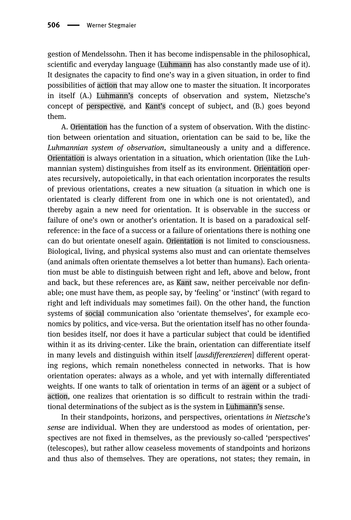gestion of Mendelssohn. Then it has become indispensable in the philosophical, scientific and everyday language (Luhmann has also constantly made use of it). It designates the capacity to find one's way in a given situation, in order to find possibilities of action that may allow one to master the situation. It incorporates in itself (A.) Luhmann's concepts of observation and system, Nietzsche's concept of perspective, and Kant's concept of subject, and (B.) goes beyond them.

A. Orientation has the function of a system of observation. With the distinction between orientation and situation, orientation can be said to be, like the *Luhmannian system of observation*, simultaneously a unity and a difference. Orientation is always orientation in a situation, which orientation (like the Luhmannian system) distinguishes from itself as its environment. Orientation operates recursively, autopoietically, in that each orientation incorporates the results of previous orientations, creates a new situation (a situation in which one is orientated is clearly different from one in which one is not orientated), and thereby again a new need for orientation. It is observable in the success or failure of one's own or another's orientation. It is based on a paradoxical selfreference: in the face of a success or a failure of orientations there is nothing one can do but orientate oneself again. Orientation is not limited to consciousness. Biological, living, and physical systems also must and can orientate themselves (and animals often orientate themselves a lot better than humans). Each orientation must be able to distinguish between right and left, above and below, front and back, but these references are, as Kant saw, neither perceivable nor definable; one must have them, as people say, by 'feeling' or 'instinct' (with regard to right and left individuals may sometimes fail). On the other hand, the function systems of social communication also 'orientate themselves', for example economics by politics, and vice-versa. But the orientation itself has no other foundation besides itself, nor does it have a particular subject that could be identified within it as its driving-center. Like the brain, orientation can differentiate itself in many levels and distinguish within itself [*ausdifferenzieren*] different operating regions, which remain nonetheless connected in networks. That is how orientation operates: always as a whole, and yet with internally differentiated weights. If one wants to talk of orientation in terms of an agent or a subject of action, one realizes that orientation is so difficult to restrain within the traditional determinations of the subject as is the system in Luhmann's sense.

In their standpoints, horizons, and perspectives, orientations *in Nietzsche's sense* are individual. When they are understood as modes of orientation, perspectives are not fixed in themselves, as the previously so-called 'perspectives' (telescopes), but rather allow ceaseless movements of standpoints and horizons and thus also of themselves. They are operations, not states; they remain, in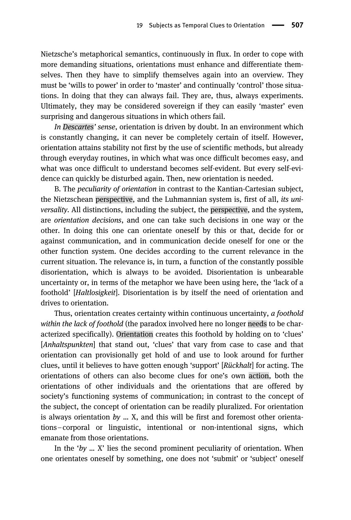Nietzsche's metaphorical semantics, continuously in flux. In order to cope with more demanding situations, orientations must enhance and differentiate themselves. Then they have to simplify themselves again into an overview. They must be 'wills to power' in order to 'master' and continually 'control' those situations. In doing that they can always fail. They are, thus, always experiments. Ultimately, they may be considered sovereign if they can easily 'master' even surprising and dangerous situations in which others fail.

*In Descartes' sense*, orientation is driven by doubt. In an environment which is constantly changing, it can never be completely certain of itself. However, orientation attains stability not first by the use of scientific methods, but already through everyday routines, in which what was once difficult becomes easy, and what was once difficult to understand becomes self-evident. But every self-evidence can quickly be disturbed again. Then, new orientation is needed.

B. The *peculiarity of orientation* in contrast to the Kantian-Cartesian subject, the Nietzschean perspective, and the Luhmannian system is, first of all, *its universality.* All distinctions, including the subject, the perspective, and the system, are *orientation decisions*, and one can take such decisions in one way or the other. In doing this one can orientate oneself by this or that, decide for or against communication, and in communication decide oneself for one or the other function system. One decides according to the current relevance in the current situation. The relevance is, in turn, a function of the constantly possible disorientation, which is always to be avoided. Disorientation is unbearable uncertainty or, in terms of the metaphor we have been using here, the 'lack of a foothold' [*Haltlosigkeit*]. Disorientation is by itself the need of orientation and drives to orientation.

Thus, orientation creates certainty within continuous uncertainty, *a foothold within the lack of foothold* (the paradox involved here no longer needs to be characterized specifically). Orientation creates this foothold by holding on to 'clues' [*Anhaltspunkten*] that stand out, 'clues' that vary from case to case and that orientation can provisionally get hold of and use to look around for further clues, until it believes to have gotten enough 'support' [*Rückhalt*] for acting. The orientations of others can also become clues for one's own action, both the orientations of other individuals and the orientations that are offered by society's functioning systems of communication; in contrast to the concept of the subject, the concept of orientation can be readily pluralized. For orientation is always orientation *by* … X, and this will be first and foremost other orientations–corporal or linguistic, intentional or non-intentional signs, which emanate from those orientations.

In the '*by …* X' lies the second prominent peculiarity of orientation. When one orientates oneself by something, one does not 'submit' or 'subject' oneself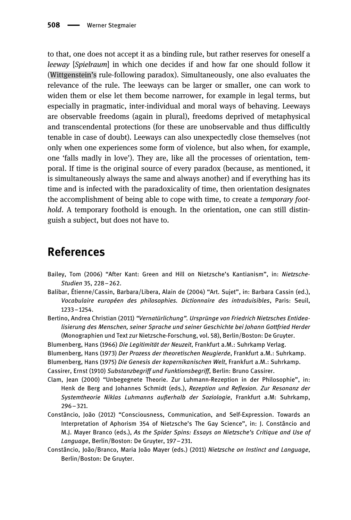to that, one does not accept it as a binding rule, but rather reserves for oneself a *leeway* [*Spielraum*] in which one decides if and how far one should follow it (Wittgenstein's rule-following paradox). Simultaneously, one also evaluates the relevance of the rule. The leeways can be larger or smaller, one can work to widen them or else let them become narrower, for example in legal terms, but especially in pragmatic, inter-individual and moral ways of behaving. Leeways are observable freedoms (again in plural), freedoms deprived of metaphysical and transcendental protections (for these are unobservable and thus difficultly tenable in case of doubt). Leeways can also unexpectedly close themselves (not only when one experiences some form of violence, but also when, for example, one 'falls madly in love'). They are, like all the processes of orientation, temporal. If time is the original source of every paradox (because, as mentioned, it is simultaneously always the same and always another) and if everything has its time and is infected with the paradoxicality of time, then orientation designates the accomplishment of being able to cope with time, to create a *temporary foothold*. A temporary foothold is enough. In the orientation, one can still distinguish a subject, but does not have to.

#### **References**

- Bailey, Tom (2006) "After Kant: Green and Hill on Nietzsche's Kantianism", in: *Nietzsche-Studien* 35, 228–262.
- Balibar, Étienne/Cassin, Barbara/Libera, Alain de (2004) "Art. Sujet", in: Barbara Cassin (ed.), *Vocabulaire européen des philosophies. Dictionnaire des intraduisibles*, Paris: Seuil, 1233–1254.
- Bertino, Andrea Christian (2011) *"Vernatürlichung". Ursprünge von Friedrich Nietzsches Entidealisierung des Menschen, seiner Sprache und seiner Geschichte bei Johann Gottfried Herder* (Monographien und Text zur Nietzsche-Forschung, vol. 58), Berlin/Boston: De Gruyter.
- Blumenberg, Hans (1966) *Die Legitimität der Neuzeit*, Frankfurt a.M.: Suhrkamp Verlag.
- Blumenberg, Hans (1973) *Der Prozess der theoretischen Neugierde*, Frankfurt a.M.: Suhrkamp.
- Blumenberg, Hans (1975) *Die Genesis der kopernikanischen Welt*, Frankfurt a.M.: Suhrkamp.
- Cassirer, Ernst (1910) *Substanzbegriff und Funktionsbegriff*, Berlin: Bruno Cassirer.
- Clam, Jean (2000) "Unbegegnete Theorie. Zur Luhmann-Rezeption in der Philosophie", in: Henk de Berg and Johannes Schmidt (eds.), *Rezeption und Reflexion. Zur Resonanz der Systemtheorie Niklas Luhmanns außerhalb der Soziologie*, Frankfurt a.M: Suhrkamp, 296–321.
- Constâncio, João (2012) "Consciousness, Communication, and Self-Expression. Towards an Interpretation of Aphorism 354 of Nietzsche's The Gay Science", in: J. Constâncio and M.J. Mayer Branco (eds.), *As the Spider Spins: Essays on Nietzsche's Critique and Use of Language*, Berlin/Boston: De Gruyter, 197–231.
- Constâncio, João/Branco, Maria João Mayer (eds.) (2011) *Nietzsche on Instinct and Language*, Berlin/Boston: De Gruyter.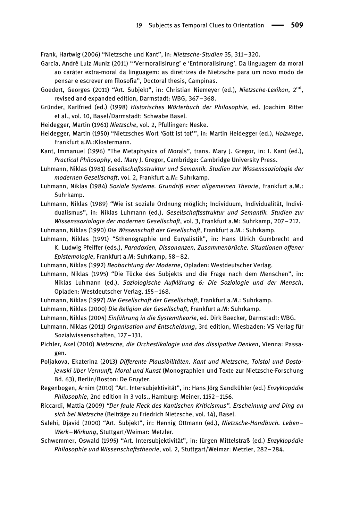Frank, Hartwig (2006) "Nietzsche und Kant", in: *Nietzsche-Studien* 35, 311–320.

- García, André Luiz Muniz (2011) "'Vermoralisirung' e 'Entmoralisirung'. Da linguagem da moral ao caráter extra-moral da linguagem: as diretrizes de Nietzsche para um novo modo de pensar e escrever em filosofia", Doctoral thesis, Campinas.
- Goedert, Georges (2011) "Art. Subjekt", in: Christian Niemeyer (ed.), *Nietzsche-Lexikon*, 2nd, revised and expanded edition, Darmstadt: WBG, 367–368.
- Gründer, Karlfried (ed.) (1998) *Historisches Wörterbuch der Philosophie*, ed. Joachim Ritter et al., vol. 10, Basel/Darmstadt: Schwabe Basel.
- Heidegger, Martin (1961) *Nietzsche*, vol. 2, Pfullingen: Neske.
- Heidegger, Martin (1950) "Nietzsches Wort 'Gott ist tot'", in: Martin Heidegger (ed.), *Holzwege*, Frankfurt a.M.:Klostermann.
- Kant, Immanuel (1996) "The Metaphysics of Morals", trans. Mary J. Gregor, in: I. Kant (ed.), *Practical Philosophy*, ed. Mary J. Gregor, Cambridge: Cambridge University Press.
- Luhmann, Niklas (1981) *Gesellschaftsstruktur und Semantik. Studien zur Wissenssoziologie der modernen Gesellschaft*, vol. 2, Frankfurt a.M: Suhrkamp.
- Luhmann, Niklas (1984) *Soziale Systeme. Grundriß einer allgemeinen Theorie*, Frankfurt a.M.: Suhrkamp.
- Luhmann, Niklas (1989) "Wie ist soziale Ordnung möglich; Individuum, Individualität, Individualismus", in: Niklas Luhmann (ed.), *Gesellschaftsstruktur und Semantik. Studien zur Wissenssoziologie der modernen Gesellschaft*, vol. 3, Frankfurt a.M: Suhrkamp, 207–212.

Luhmann, Niklas (1990) *Die Wissenschaft der Gesellschaft*, Frankfurt a.M.: Suhrkamp.

- Luhmann, Niklas (1991) "Sthenographie und Euryalistik", in: Hans Ulrich Gumbrecht and K. Ludwig Pfeiffer (eds.), *Paradoxien, Dissonanzen, Zusammenbrüche. Situationen offener Epistemologie*, Frankfurt a.M: Suhrkamp, 58–82.
- Luhmann, Niklas (1992) *Beobachtung der Moderne*, Opladen: Westdeutscher Verlag.
- Luhmann, Niklas (1995) "Die Tücke des Subjekts und die Frage nach dem Menschen", in: Niklas Luhmann (ed.), *Soziologische Aufklärung 6: Die Soziologie und der Mensch*, Opladen: Westdeutscher Verlag, 155–168.
- Luhmann, Niklas (1997) *Die Gesellschaft der Gesellschaft*, Frankfurt a.M.: Suhrkamp.
- Luhmann, Niklas (2000) *Die Religion der Gesellschaft*, Frankfurt a.M: Suhrkamp.
- Luhmann, Niklas (2004) *Einführung in die Systemtheorie*, ed. Dirk Baecker, Darmstadt: WBG.
- Luhmann, Niklas (2011) *Organisation und Entscheidung*, 3rd edition, Wiesbaden: VS Verlag für Sozialwissenschaften, 127–131.
- Pichler, Axel (2010) *Nietzsche, die Orchestikologie und das dissipative Denken*, Vienna: Passagen.
- Poljakova, Ekaterina (2013) *Differente Plausibilitäten. Kant und Nietzsche, Tolstoi und Dostojewski über Vernunft, Moral und Kunst* (Monographien und Texte zur Nietzsche-Forschung Bd. 63), Berlin/Boston: De Gruyter.
- Regenbogen, Arnim (2010) "Art. Intersubjektivität", in: Hans Jörg Sandkühler (ed.) *Enzyklopädie Philosophie*, 2nd edition in 3 vols., Hamburg: Meiner, 1152–1156.
- Riccardi, Mattia (2009) *"Der faule Fleck des Kantischen Kriticismus". Erscheinung und Ding an sich bei Nietzsche* (Beiträge zu Friedrich Nietzsche, vol. 14), Basel.
- Salehi, Djavid (2000) "Art. Subjekt", in: Hennig Ottmann (ed.), *Nietzsche-Handbuch. Leben– Werk–Wirkung*, Stuttgart/Weimar: Metzler.
- Schwemmer, Oswald (1995) "Art. Intersubjektivität", in: Jürgen Mittelstraß (ed.) *Enzyklopädie Philosophie und Wissenschaftstheorie*, vol. 2, Stuttgart/Weimar: Metzler, 282–284.